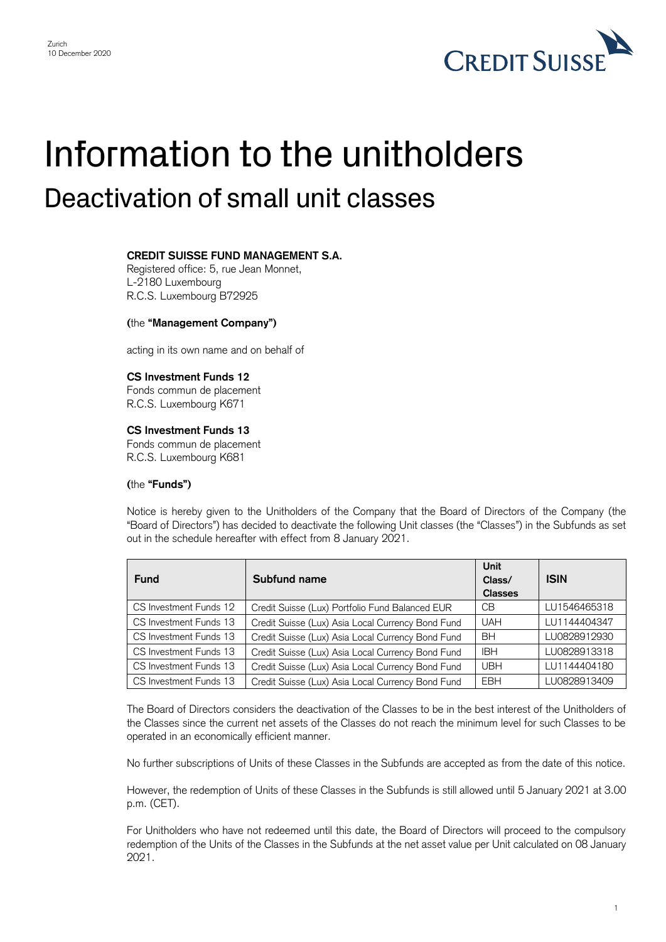

# Information to the unitholders Deactivation of small unit classes

## **CREDIT SUISSE FUND MANAGEMENT S.A.**

Registered office: 5, rue Jean Monnet, L-2180 Luxembourg R.C.S. Luxembourg B72925

### **(**the **"Management Company")**

acting in its own name and on behalf of

### **CS Investment Funds 12**

Fonds commun de placement R.C.S. Luxembourg K671

#### **CS Investment Funds 13**

 Fonds commun de placement R.C.S. Luxembourg K681

## **(**the **"Funds")**

 Notice is hereby given to the Unitholders of the Company that the Board of Directors of the Company (the "Board of Directors") has decided to deactivate the following Unit classes (the "Classes") in the Subfunds as set out in the schedule hereafter with effect from 8 January 2021.

| <b>Fund</b>            | Subfund name                                      | Unit<br>Class/<br><b>Classes</b> | <b>ISIN</b>  |
|------------------------|---------------------------------------------------|----------------------------------|--------------|
| CS Investment Funds 12 | Credit Suisse (Lux) Portfolio Fund Balanced EUR   | CВ                               | LU1546465318 |
| CS Investment Funds 13 | Credit Suisse (Lux) Asia Local Currency Bond Fund | <b>UAH</b>                       | LU1144404347 |
| CS Investment Funds 13 | Credit Suisse (Lux) Asia Local Currency Bond Fund | <b>BH</b>                        | LU0828912930 |
| CS Investment Funds 13 | Credit Suisse (Lux) Asia Local Currency Bond Fund | <b>IBH</b>                       | LU0828913318 |
| CS Investment Funds 13 | Credit Suisse (Lux) Asia Local Currency Bond Fund | <b>UBH</b>                       | LU1144404180 |
| CS Investment Funds 13 | Credit Suisse (Lux) Asia Local Currency Bond Fund | <b>EBH</b>                       | LU0828913409 |

 The Board of Directors considers the deactivation of the Classes to be in the best interest of the Unitholders of the Classes since the current net assets of the Classes do not reach the minimum level for such Classes to be operated in an economically efficient manner.

No further subscriptions of Units of these Classes in the Subfunds are accepted as from the date of this notice.

 However, the redemption of Units of these Classes in the Subfunds is still allowed until 5 January 2021 at 3.00 p.m. (CET).

 For Unitholders who have not redeemed until this date, the Board of Directors will proceed to the compulsory redemption of the Units of the Classes in the Subfunds at the net asset value per Unit calculated on 08 January 2021.